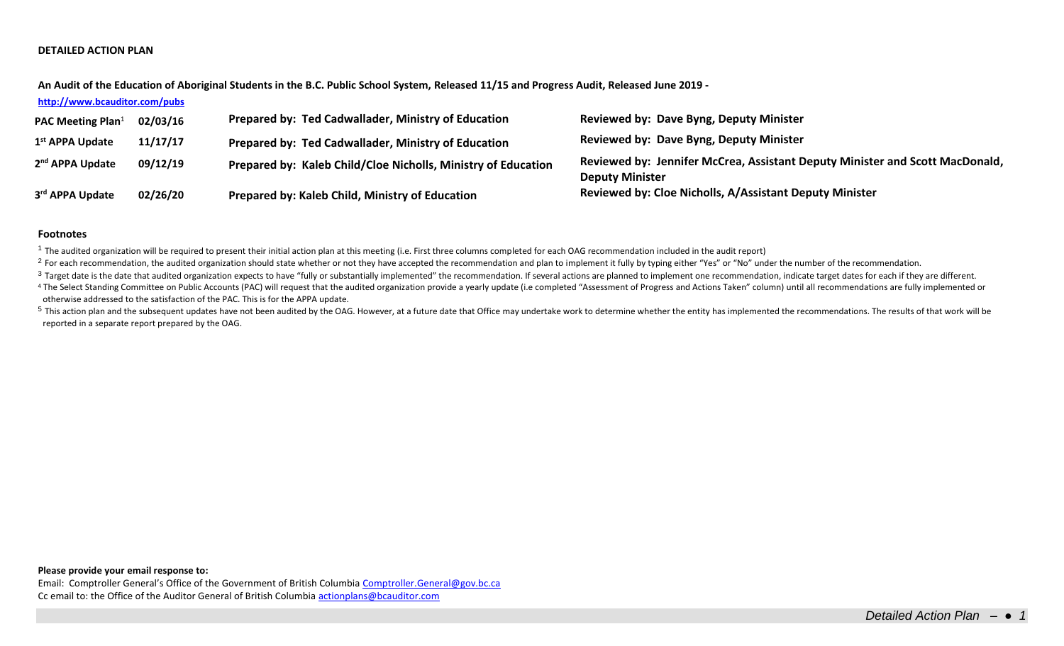# **DETAILED ACTION PLAN**

**An Audit of the Education of Aboriginal Students in the B.C. Public School System, Released 11/15 and Progress Audit, Released June 2019 -**

## **<http://www.bcauditor.com/pubs>**

| <b>PAC Meeting Plan</b> <sup>1</sup> | 02/03/16 | Prepared by: Ted Cadwallader, Ministry of Education           | Reviewed by: Dave Byng, Deputy Minister                                                                |
|--------------------------------------|----------|---------------------------------------------------------------|--------------------------------------------------------------------------------------------------------|
| 1 <sup>st</sup> APPA Update          | 11/17/17 | Prepared by: Ted Cadwallader, Ministry of Education           | <b>Reviewed by: Dave Byng, Deputy Minister</b>                                                         |
| 2 <sup>nd</sup> APPA Update          | 09/12/19 | Prepared by: Kaleb Child/Cloe Nicholls, Ministry of Education | Reviewed by: Jennifer McCrea, Assistant Deputy Minister and Scott MacDonald,<br><b>Deputy Minister</b> |
| 3rd APPA Update                      | 02/26/20 | Prepared by: Kaleb Child, Ministry of Education               | Reviewed by: Cloe Nicholls, A/Assistant Deputy Minister                                                |

#### **Footnotes**

<sup>1</sup> The audited organization will be required to present their initial action plan at this meeting (i.e. First three columns completed for each OAG recommendation included in the audit report)

<sup>2</sup> For each recommendation, the audited organization should state whether or not they have accepted the recommendation and plan to implement it fully by typing either "Yes" or "No" under the number of the recommendation.

<sup>3</sup> Target date is the date that audited organization expects to have "fully or substantially implemented" the recommendation. If several actions are planned to implement one recommendation, indicate target dates for each

<sup>4</sup> The Select Standing Committee on Public Accounts (PAC) will request that the audited organization provide a yearly update (i.e completed "Assessment of Progress and Actions Taken" column) until all recommendations are otherwise addressed to the satisfaction of the PAC. This is for the APPA update.

<sup>5</sup> This action plan and the subsequent updates have not been audited by the OAG. However, at a future date that Office may undertake work to determine whether the entity has implemented the recommendations. The results of reported in a separate report prepared by the OAG.

**Please provide your email response to:**

Email: Comptroller General's Office of the Government of British Columbia [Comptroller.General@gov.bc.ca](mailto:Comptroller.General@gov.bc.ca) Cc email to: the Office of the Auditor General of British Columbi[a actionplans@bcauditor.com](mailto:actionplans@bcauditor.com)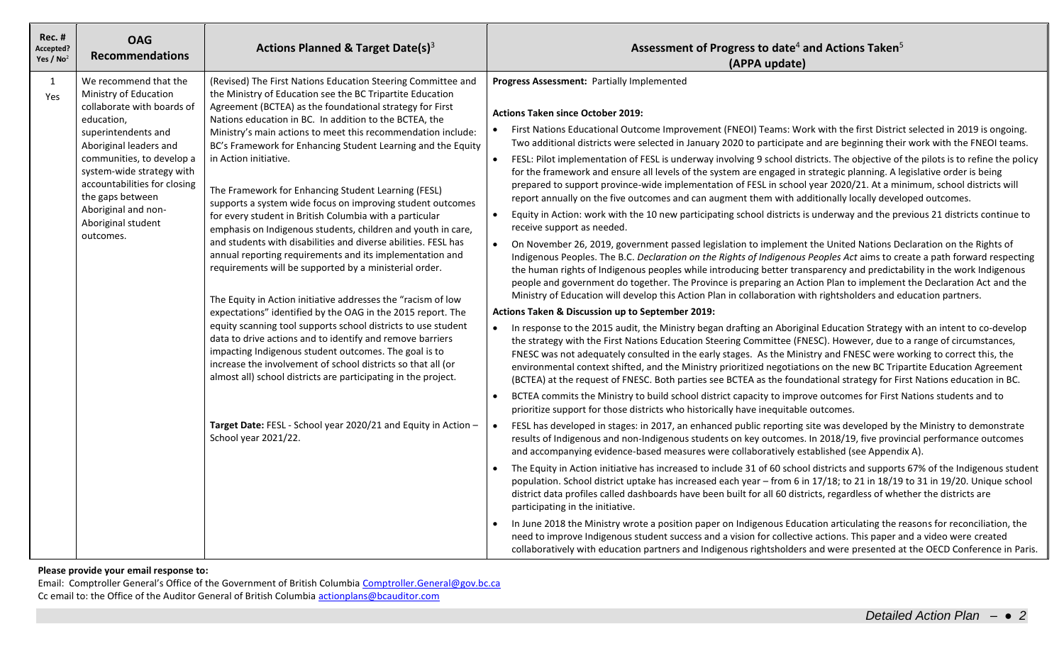| <b>Rec. #</b><br>Accepted?<br>Yes / $No2$ | <b>OAG</b><br><b>Recommendations</b>                                                                                                                                                                                                                                                                                | Actions Planned & Target Date(s) $3$                                                                                                                                                                                                                                                                                                                                                                                                                                                                                                                                                                                                                                                                                                                                                                                                                                                                                                                                                                                                                                                                                                                                                                                                                                                                                                                                                               | Assessment of Progress to date <sup>4</sup> and Actions Taken <sup>5</sup><br>(APPA update)                                                                                                                                                                                                                                                                                                                                                                                                                                                                                                                                                                                                                                                                                                                                                                                                                                                                                                                                                                                                                                                                                                                                                                                                                                                                                                                                                                                                                                                                                                                                                                                                                                                                                                                                                                                                                                                                                                                                                                                                                                                                                                                                                                                                                                                                                                                                                                                                                                                                                                                                                                                                                                                                                                                                                                                                                                                                                                                                                                                                                                                                                                                                                                                                                                                                                                                                                                                                                                                                                                                                                                                                                                                                                          |
|-------------------------------------------|---------------------------------------------------------------------------------------------------------------------------------------------------------------------------------------------------------------------------------------------------------------------------------------------------------------------|----------------------------------------------------------------------------------------------------------------------------------------------------------------------------------------------------------------------------------------------------------------------------------------------------------------------------------------------------------------------------------------------------------------------------------------------------------------------------------------------------------------------------------------------------------------------------------------------------------------------------------------------------------------------------------------------------------------------------------------------------------------------------------------------------------------------------------------------------------------------------------------------------------------------------------------------------------------------------------------------------------------------------------------------------------------------------------------------------------------------------------------------------------------------------------------------------------------------------------------------------------------------------------------------------------------------------------------------------------------------------------------------------|--------------------------------------------------------------------------------------------------------------------------------------------------------------------------------------------------------------------------------------------------------------------------------------------------------------------------------------------------------------------------------------------------------------------------------------------------------------------------------------------------------------------------------------------------------------------------------------------------------------------------------------------------------------------------------------------------------------------------------------------------------------------------------------------------------------------------------------------------------------------------------------------------------------------------------------------------------------------------------------------------------------------------------------------------------------------------------------------------------------------------------------------------------------------------------------------------------------------------------------------------------------------------------------------------------------------------------------------------------------------------------------------------------------------------------------------------------------------------------------------------------------------------------------------------------------------------------------------------------------------------------------------------------------------------------------------------------------------------------------------------------------------------------------------------------------------------------------------------------------------------------------------------------------------------------------------------------------------------------------------------------------------------------------------------------------------------------------------------------------------------------------------------------------------------------------------------------------------------------------------------------------------------------------------------------------------------------------------------------------------------------------------------------------------------------------------------------------------------------------------------------------------------------------------------------------------------------------------------------------------------------------------------------------------------------------------------------------------------------------------------------------------------------------------------------------------------------------------------------------------------------------------------------------------------------------------------------------------------------------------------------------------------------------------------------------------------------------------------------------------------------------------------------------------------------------------------------------------------------------------------------------------------------------------------------------------------------------------------------------------------------------------------------------------------------------------------------------------------------------------------------------------------------------------------------------------------------------------------------------------------------------------------------------------------------------------------------------------------------------------------------------------------------------|
| 1<br>Yes                                  | We recommend that the<br>Ministry of Education<br>collaborate with boards of<br>education,<br>superintendents and<br>Aboriginal leaders and<br>communities, to develop a<br>system-wide strategy with<br>accountabilities for closing<br>the gaps between<br>Aboriginal and non-<br>Aboriginal student<br>outcomes. | (Revised) The First Nations Education Steering Committee and<br>the Ministry of Education see the BC Tripartite Education<br>Agreement (BCTEA) as the foundational strategy for First<br>Nations education in BC. In addition to the BCTEA, the<br>Ministry's main actions to meet this recommendation include:<br>BC's Framework for Enhancing Student Learning and the Equity<br>in Action initiative.<br>The Framework for Enhancing Student Learning (FESL)<br>supports a system wide focus on improving student outcomes<br>for every student in British Columbia with a particular<br>emphasis on Indigenous students, children and youth in care,<br>and students with disabilities and diverse abilities. FESL has<br>annual reporting requirements and its implementation and<br>requirements will be supported by a ministerial order.<br>The Equity in Action initiative addresses the "racism of low<br>expectations" identified by the OAG in the 2015 report. The<br>equity scanning tool supports school districts to use student<br>data to drive actions and to identify and remove barriers<br>impacting Indigenous student outcomes. The goal is to<br>increase the involvement of school districts so that all (or<br>almost all) school districts are participating in the project.<br>Target Date: FESL - School year 2020/21 and Equity in Action -<br>School year 2021/22. | Progress Assessment: Partially Implemented<br><b>Actions Taken since October 2019:</b><br>First Nations Educational Outcome Improvement (FNEOI) Teams: Work with the first District selected in 2019 is ongoing.<br>$\bullet$<br>Two additional districts were selected in January 2020 to participate and are beginning their work with the FNEOI teams.<br>FESL: Pilot implementation of FESL is underway involving 9 school districts. The objective of the pilots is to refine the policy<br>$\bullet$<br>for the framework and ensure all levels of the system are engaged in strategic planning. A legislative order is being<br>prepared to support province-wide implementation of FESL in school year 2020/21. At a minimum, school districts will<br>report annually on the five outcomes and can augment them with additionally locally developed outcomes.<br>$\bullet$<br>Equity in Action: work with the 10 new participating school districts is underway and the previous 21 districts continue to<br>receive support as needed.<br>On November 26, 2019, government passed legislation to implement the United Nations Declaration on the Rights of<br>$\bullet$<br>Indigenous Peoples. The B.C. Declaration on the Rights of Indigenous Peoples Act aims to create a path forward respecting<br>the human rights of Indigenous peoples while introducing better transparency and predictability in the work Indigenous<br>people and government do together. The Province is preparing an Action Plan to implement the Declaration Act and the<br>Ministry of Education will develop this Action Plan in collaboration with rightsholders and education partners.<br>Actions Taken & Discussion up to September 2019:<br>In response to the 2015 audit, the Ministry began drafting an Aboriginal Education Strategy with an intent to co-develop<br>$\bullet$<br>the strategy with the First Nations Education Steering Committee (FNESC). However, due to a range of circumstances,<br>FNESC was not adequately consulted in the early stages. As the Ministry and FNESC were working to correct this, the<br>environmental context shifted, and the Ministry prioritized negotiations on the new BC Tripartite Education Agreement<br>(BCTEA) at the request of FNESC. Both parties see BCTEA as the foundational strategy for First Nations education in BC.<br>BCTEA commits the Ministry to build school district capacity to improve outcomes for First Nations students and to<br>$\bullet$<br>prioritize support for those districts who historically have inequitable outcomes.<br>FESL has developed in stages: in 2017, an enhanced public reporting site was developed by the Ministry to demonstrate<br>$\bullet$<br>results of Indigenous and non-Indigenous students on key outcomes. In 2018/19, five provincial performance outcomes<br>and accompanying evidence-based measures were collaboratively established (see Appendix A).<br>The Equity in Action initiative has increased to include 31 of 60 school districts and supports 67% of the Indigenous student<br>population. School district uptake has increased each year - from 6 in 17/18; to 21 in 18/19 to 31 in 19/20. Unique school<br>district data profiles called dashboards have been built for all 60 districts, regardless of whether the districts are<br>participating in the initiative.<br>In June 2018 the Ministry wrote a position paper on Indigenous Education articulating the reasons for reconciliation, the<br>need to improve Indigenous student success and a vision for collective actions. This paper and a video were created<br>collaboratively with education partners and Indigenous rightsholders and were presented at the OECD Conference in Paris. |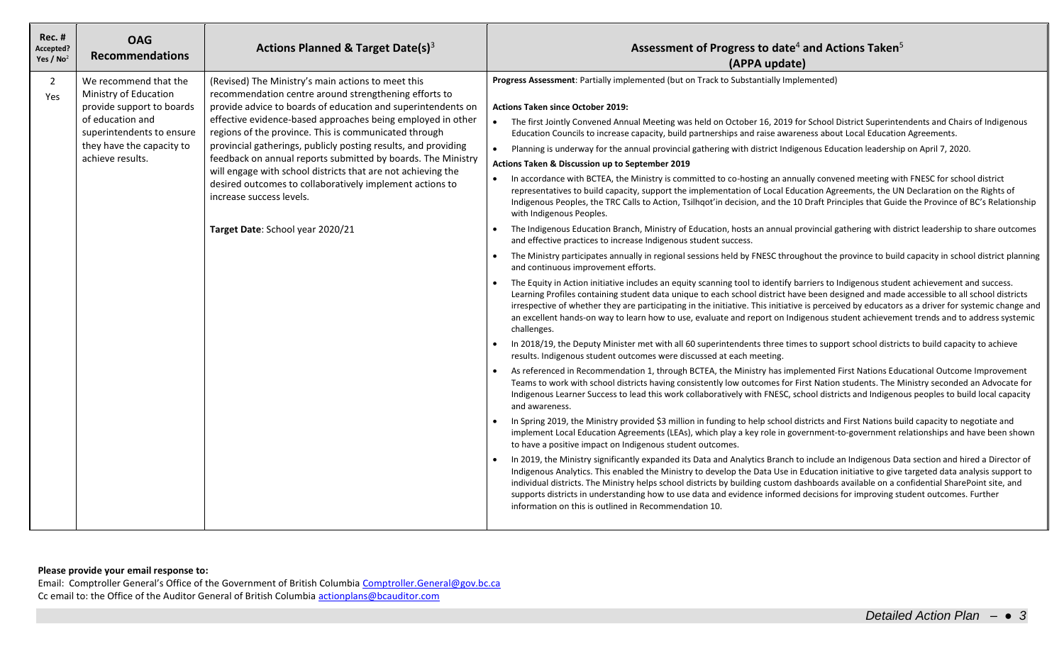| $Rec.$ #<br>Accepted?<br>Yes / $No2$ | <b>OAG</b><br><b>Recommendations</b>                                                                                                                                          | Actions Planned & Target Date(s) <sup>3</sup>                                                                                                                                                                                                                                                                                                                                                                                                                                                                                                                                                                                     | Assessment of Progress to date <sup>4</sup> and Actions Taken <sup>5</sup><br>(APPA update)                                                                                                                                                                                                                                                                                                                                                                                                                                                                                                                                                                                                                                                                                                                                                                                                                                                                                                                                                                                                                                                                                                                                                                                                                                                                                                                                                                                                                                                                                                                                                                                                                                                                                                                                                                                                                                                                                                                                                                                                                                                                                                                                                                                                                                                                                                                                                                                                                                                                                                                                                                                                                                                                                                                                                                                                                                                                                                                                                                                                                                                                                                                                                                                                                                                                                                                                                                                                                                                                                                                                                                                                                                    |
|--------------------------------------|-------------------------------------------------------------------------------------------------------------------------------------------------------------------------------|-----------------------------------------------------------------------------------------------------------------------------------------------------------------------------------------------------------------------------------------------------------------------------------------------------------------------------------------------------------------------------------------------------------------------------------------------------------------------------------------------------------------------------------------------------------------------------------------------------------------------------------|--------------------------------------------------------------------------------------------------------------------------------------------------------------------------------------------------------------------------------------------------------------------------------------------------------------------------------------------------------------------------------------------------------------------------------------------------------------------------------------------------------------------------------------------------------------------------------------------------------------------------------------------------------------------------------------------------------------------------------------------------------------------------------------------------------------------------------------------------------------------------------------------------------------------------------------------------------------------------------------------------------------------------------------------------------------------------------------------------------------------------------------------------------------------------------------------------------------------------------------------------------------------------------------------------------------------------------------------------------------------------------------------------------------------------------------------------------------------------------------------------------------------------------------------------------------------------------------------------------------------------------------------------------------------------------------------------------------------------------------------------------------------------------------------------------------------------------------------------------------------------------------------------------------------------------------------------------------------------------------------------------------------------------------------------------------------------------------------------------------------------------------------------------------------------------------------------------------------------------------------------------------------------------------------------------------------------------------------------------------------------------------------------------------------------------------------------------------------------------------------------------------------------------------------------------------------------------------------------------------------------------------------------------------------------------------------------------------------------------------------------------------------------------------------------------------------------------------------------------------------------------------------------------------------------------------------------------------------------------------------------------------------------------------------------------------------------------------------------------------------------------------------------------------------------------------------------------------------------------------------------------------------------------------------------------------------------------------------------------------------------------------------------------------------------------------------------------------------------------------------------------------------------------------------------------------------------------------------------------------------------------------------------------------------------------------------------------------------------------|
| $\overline{2}$<br>Yes                | We recommend that the<br>Ministry of Education<br>provide support to boards<br>of education and<br>superintendents to ensure<br>they have the capacity to<br>achieve results. | (Revised) The Ministry's main actions to meet this<br>recommendation centre around strengthening efforts to<br>provide advice to boards of education and superintendents on<br>effective evidence-based approaches being employed in other<br>regions of the province. This is communicated through<br>provincial gatherings, publicly posting results, and providing<br>feedback on annual reports submitted by boards. The Ministry<br>will engage with school districts that are not achieving the<br>desired outcomes to collaboratively implement actions to<br>increase success levels.<br>Target Date: School year 2020/21 | Progress Assessment: Partially implemented (but on Track to Substantially Implemented)<br><b>Actions Taken since October 2019:</b><br>The first Jointly Convened Annual Meeting was held on October 16, 2019 for School District Superintendents and Chairs of Indigenous<br>Education Councils to increase capacity, build partnerships and raise awareness about Local Education Agreements.<br>Planning is underway for the annual provincial gathering with district Indigenous Education leadership on April 7, 2020.<br>$\bullet$<br>Actions Taken & Discussion up to September 2019<br>In accordance with BCTEA, the Ministry is committed to co-hosting an annually convened meeting with FNESC for school district<br>$\bullet$<br>representatives to build capacity, support the implementation of Local Education Agreements, the UN Declaration on the Rights of<br>Indigenous Peoples, the TRC Calls to Action, Tsilhqot'in decision, and the 10 Draft Principles that Guide the Province of BC's Relationship<br>with Indigenous Peoples.<br>The Indigenous Education Branch, Ministry of Education, hosts an annual provincial gathering with district leadership to share outcomes<br>and effective practices to increase Indigenous student success.<br>The Ministry participates annually in regional sessions held by FNESC throughout the province to build capacity in school district planning<br>and continuous improvement efforts.<br>The Equity in Action initiative includes an equity scanning tool to identify barriers to Indigenous student achievement and success.<br>Learning Profiles containing student data unique to each school district have been designed and made accessible to all school districts<br>irrespective of whether they are participating in the initiative. This initiative is perceived by educators as a driver for systemic change and<br>an excellent hands-on way to learn how to use, evaluate and report on Indigenous student achievement trends and to address systemic<br>challenges.<br>In 2018/19, the Deputy Minister met with all 60 superintendents three times to support school districts to build capacity to achieve<br>$\bullet$<br>results. Indigenous student outcomes were discussed at each meeting.<br>As referenced in Recommendation 1, through BCTEA, the Ministry has implemented First Nations Educational Outcome Improvement<br>$\bullet$<br>Teams to work with school districts having consistently low outcomes for First Nation students. The Ministry seconded an Advocate for<br>Indigenous Learner Success to lead this work collaboratively with FNESC, school districts and Indigenous peoples to build local capacity<br>and awareness.<br>In Spring 2019, the Ministry provided \$3 million in funding to help school districts and First Nations build capacity to negotiate and<br>$\bullet$<br>implement Local Education Agreements (LEAs), which play a key role in government-to-government relationships and have been shown<br>to have a positive impact on Indigenous student outcomes.<br>In 2019, the Ministry significantly expanded its Data and Analytics Branch to include an Indigenous Data section and hired a Director of<br>Indigenous Analytics. This enabled the Ministry to develop the Data Use in Education initiative to give targeted data analysis support to<br>individual districts. The Ministry helps school districts by building custom dashboards available on a confidential SharePoint site, and<br>supports districts in understanding how to use data and evidence informed decisions for improving student outcomes. Further<br>information on this is outlined in Recommendation 10. |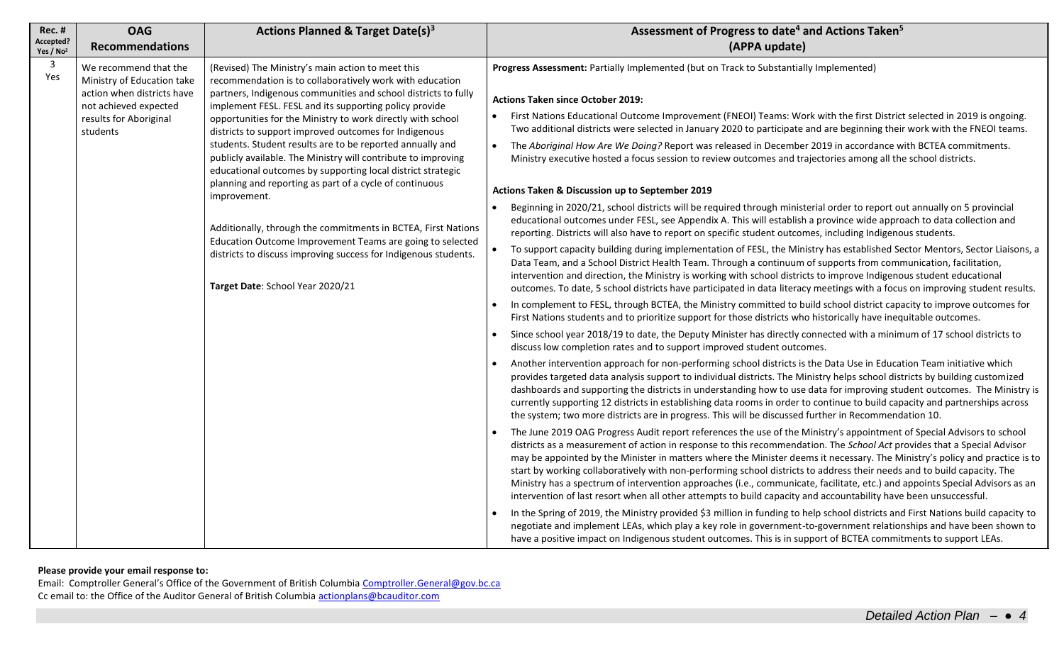| <b>Rec. #</b><br>Accepted?<br>Yes / No <sup>2</sup> | <b>OAG</b><br><b>Recommendations</b>                                                                                                             | Actions Planned & Target Date(s) <sup>3</sup>                                                                                                                                                                                                                                                                                                                                                                                                                                                                                                                                                                                                                                                                                                                                                                                                                                  | Assessment of Progress to date <sup>4</sup> and Actions Taken <sup>5</sup><br>(APPA update)                                                                                                                                                                                                                                                                                                                                                                                                                                                                                                                                                                                                                                                                                                                                                                                                                                                                                                                                                                                                                                                                                                                                                                                                                                                                                                                                                                                                                                                                                                                                                                                                                                                                                                                                                                                                                                                                                                                                                                                                                                                                                                                                                                                                                                                                                                                                                                                                                                                                                                                                                                                                                                                                                                                                                                                                                                                                                                                                                                                                                                                                                                                                                                                                                                                                                                                                                                                                                                                                                                                                                                                                                                                                                                       |
|-----------------------------------------------------|--------------------------------------------------------------------------------------------------------------------------------------------------|--------------------------------------------------------------------------------------------------------------------------------------------------------------------------------------------------------------------------------------------------------------------------------------------------------------------------------------------------------------------------------------------------------------------------------------------------------------------------------------------------------------------------------------------------------------------------------------------------------------------------------------------------------------------------------------------------------------------------------------------------------------------------------------------------------------------------------------------------------------------------------|---------------------------------------------------------------------------------------------------------------------------------------------------------------------------------------------------------------------------------------------------------------------------------------------------------------------------------------------------------------------------------------------------------------------------------------------------------------------------------------------------------------------------------------------------------------------------------------------------------------------------------------------------------------------------------------------------------------------------------------------------------------------------------------------------------------------------------------------------------------------------------------------------------------------------------------------------------------------------------------------------------------------------------------------------------------------------------------------------------------------------------------------------------------------------------------------------------------------------------------------------------------------------------------------------------------------------------------------------------------------------------------------------------------------------------------------------------------------------------------------------------------------------------------------------------------------------------------------------------------------------------------------------------------------------------------------------------------------------------------------------------------------------------------------------------------------------------------------------------------------------------------------------------------------------------------------------------------------------------------------------------------------------------------------------------------------------------------------------------------------------------------------------------------------------------------------------------------------------------------------------------------------------------------------------------------------------------------------------------------------------------------------------------------------------------------------------------------------------------------------------------------------------------------------------------------------------------------------------------------------------------------------------------------------------------------------------------------------------------------------------------------------------------------------------------------------------------------------------------------------------------------------------------------------------------------------------------------------------------------------------------------------------------------------------------------------------------------------------------------------------------------------------------------------------------------------------------------------------------------------------------------------------------------------------------------------------------------------------------------------------------------------------------------------------------------------------------------------------------------------------------------------------------------------------------------------------------------------------------------------------------------------------------------------------------------------------------------------------------------------------------------------------------------------------|
| $\overline{3}$<br>Yes                               | We recommend that the<br>Ministry of Education take<br>action when districts have<br>not achieved expected<br>results for Aboriginal<br>students | (Revised) The Ministry's main action to meet this<br>recommendation is to collaboratively work with education<br>partners, Indigenous communities and school districts to fully<br>implement FESL. FESL and its supporting policy provide<br>opportunities for the Ministry to work directly with school<br>districts to support improved outcomes for Indigenous<br>students. Student results are to be reported annually and<br>publicly available. The Ministry will contribute to improving<br>educational outcomes by supporting local district strategic<br>planning and reporting as part of a cycle of continuous<br>improvement.<br>Additionally, through the commitments in BCTEA, First Nations<br>Education Outcome Improvement Teams are going to selected<br>districts to discuss improving success for Indigenous students.<br>Target Date: School Year 2020/21 | Progress Assessment: Partially Implemented (but on Track to Substantially Implemented)<br><b>Actions Taken since October 2019:</b><br>First Nations Educational Outcome Improvement (FNEOI) Teams: Work with the first District selected in 2019 is ongoing.<br>Two additional districts were selected in January 2020 to participate and are beginning their work with the FNEOI teams.<br>The Aboriginal How Are We Doing? Report was released in December 2019 in accordance with BCTEA commitments.<br>Ministry executive hosted a focus session to review outcomes and trajectories among all the school districts.<br>Actions Taken & Discussion up to September 2019<br>Beginning in 2020/21, school districts will be required through ministerial order to report out annually on 5 provincial<br>educational outcomes under FESL, see Appendix A. This will establish a province wide approach to data collection and<br>reporting. Districts will also have to report on specific student outcomes, including Indigenous students.<br>To support capacity building during implementation of FESL, the Ministry has established Sector Mentors, Sector Liaisons, a<br>$\bullet$<br>Data Team, and a School District Health Team. Through a continuum of supports from communication, facilitation,<br>intervention and direction, the Ministry is working with school districts to improve Indigenous student educational<br>outcomes. To date, 5 school districts have participated in data literacy meetings with a focus on improving student results.<br>In complement to FESL, through BCTEA, the Ministry committed to build school district capacity to improve outcomes for<br>First Nations students and to prioritize support for those districts who historically have inequitable outcomes.<br>Since school year 2018/19 to date, the Deputy Minister has directly connected with a minimum of 17 school districts to<br>discuss low completion rates and to support improved student outcomes.<br>Another intervention approach for non-performing school districts is the Data Use in Education Team initiative which<br>provides targeted data analysis support to individual districts. The Ministry helps school districts by building customized<br>dashboards and supporting the districts in understanding how to use data for improving student outcomes. The Ministry is<br>currently supporting 12 districts in establishing data rooms in order to continue to build capacity and partnerships across<br>the system; two more districts are in progress. This will be discussed further in Recommendation 10.<br>The June 2019 OAG Progress Audit report references the use of the Ministry's appointment of Special Advisors to school<br>districts as a measurement of action in response to this recommendation. The School Act provides that a Special Advisor<br>may be appointed by the Minister in matters where the Minister deems it necessary. The Ministry's policy and practice is to<br>start by working collaboratively with non-performing school districts to address their needs and to build capacity. The<br>Ministry has a spectrum of intervention approaches (i.e., communicate, facilitate, etc.) and appoints Special Advisors as an<br>intervention of last resort when all other attempts to build capacity and accountability have been unsuccessful.<br>In the Spring of 2019, the Ministry provided \$3 million in funding to help school districts and First Nations build capacity to<br>negotiate and implement LEAs, which play a key role in government-to-government relationships and have been shown to<br>have a positive impact on Indigenous student outcomes. This is in support of BCTEA commitments to support LEAs. |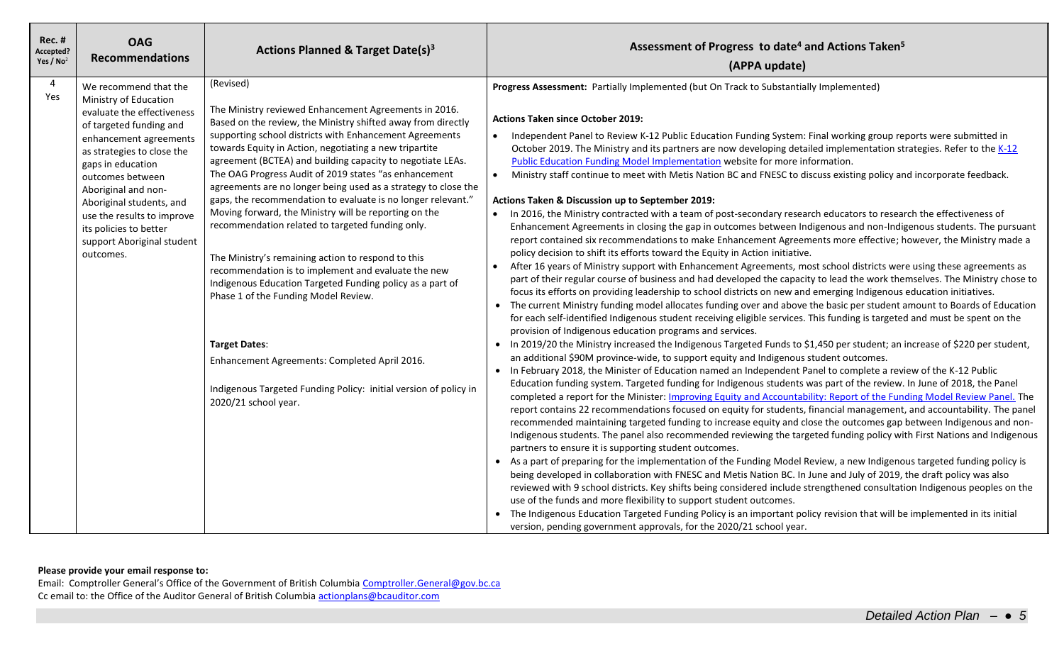| <b>Rec. #</b><br>Accepted?<br>Yes / $No2$ | <b>OAG</b><br><b>Recommendations</b>                                                                                                                                                                                                                                                                                                                           | <b>Actions Planned &amp; Target Date(s)3</b>                                                                                                                                                                                                                                                                                                                                                                                                                                                                                                                                                                                                                                                                                                                                                                                                                                                                                                                                                                         | Assessment of Progress to date <sup>4</sup> and Actions Taken <sup>5</sup><br>(APPA update)                                                                                                                                                                                                                                                                                                                                                                                                                                                                                                                                                                                                                                                                                                                                                                                                                                                                                                                                                                                                                                                                                                                                                                                                                                                                                                                                                                                                                                                                                                                                                                                                                                                                                                                                                                                                                                                                                                                                                                                                                                                                                                                                                                                                                                                                                                                                                                                                                                                                                                                                                                                                                                                                                                                                                                                                                                                                                                                                                                                                                                                                                                                                                                                                                                                                                                                                                                                                                                        |
|-------------------------------------------|----------------------------------------------------------------------------------------------------------------------------------------------------------------------------------------------------------------------------------------------------------------------------------------------------------------------------------------------------------------|----------------------------------------------------------------------------------------------------------------------------------------------------------------------------------------------------------------------------------------------------------------------------------------------------------------------------------------------------------------------------------------------------------------------------------------------------------------------------------------------------------------------------------------------------------------------------------------------------------------------------------------------------------------------------------------------------------------------------------------------------------------------------------------------------------------------------------------------------------------------------------------------------------------------------------------------------------------------------------------------------------------------|------------------------------------------------------------------------------------------------------------------------------------------------------------------------------------------------------------------------------------------------------------------------------------------------------------------------------------------------------------------------------------------------------------------------------------------------------------------------------------------------------------------------------------------------------------------------------------------------------------------------------------------------------------------------------------------------------------------------------------------------------------------------------------------------------------------------------------------------------------------------------------------------------------------------------------------------------------------------------------------------------------------------------------------------------------------------------------------------------------------------------------------------------------------------------------------------------------------------------------------------------------------------------------------------------------------------------------------------------------------------------------------------------------------------------------------------------------------------------------------------------------------------------------------------------------------------------------------------------------------------------------------------------------------------------------------------------------------------------------------------------------------------------------------------------------------------------------------------------------------------------------------------------------------------------------------------------------------------------------------------------------------------------------------------------------------------------------------------------------------------------------------------------------------------------------------------------------------------------------------------------------------------------------------------------------------------------------------------------------------------------------------------------------------------------------------------------------------------------------------------------------------------------------------------------------------------------------------------------------------------------------------------------------------------------------------------------------------------------------------------------------------------------------------------------------------------------------------------------------------------------------------------------------------------------------------------------------------------------------------------------------------------------------------------------------------------------------------------------------------------------------------------------------------------------------------------------------------------------------------------------------------------------------------------------------------------------------------------------------------------------------------------------------------------------------------------------------------------------------------------------------------------------------|
| 4<br>Yes                                  | We recommend that the<br>Ministry of Education<br>evaluate the effectiveness<br>of targeted funding and<br>enhancement agreements<br>as strategies to close the<br>gaps in education<br>outcomes between<br>Aboriginal and non-<br>Aboriginal students, and<br>use the results to improve<br>its policies to better<br>support Aboriginal student<br>outcomes. | (Revised)<br>The Ministry reviewed Enhancement Agreements in 2016.<br>Based on the review, the Ministry shifted away from directly<br>supporting school districts with Enhancement Agreements<br>towards Equity in Action, negotiating a new tripartite<br>agreement (BCTEA) and building capacity to negotiate LEAs.<br>The OAG Progress Audit of 2019 states "as enhancement<br>agreements are no longer being used as a strategy to close the<br>gaps, the recommendation to evaluate is no longer relevant."<br>Moving forward, the Ministry will be reporting on the<br>recommendation related to targeted funding only.<br>The Ministry's remaining action to respond to this<br>recommendation is to implement and evaluate the new<br>Indigenous Education Targeted Funding policy as a part of<br>Phase 1 of the Funding Model Review.<br><b>Target Dates:</b><br>Enhancement Agreements: Completed April 2016.<br>Indigenous Targeted Funding Policy: initial version of policy in<br>2020/21 school year. | Progress Assessment: Partially Implemented (but On Track to Substantially Implemented)<br><b>Actions Taken since October 2019:</b><br>Independent Panel to Review K-12 Public Education Funding System: Final working group reports were submitted in<br>$\bullet$<br>October 2019. The Ministry and its partners are now developing detailed implementation strategies. Refer to the K-12<br>Public Education Funding Model Implementation website for more information.<br>Ministry staff continue to meet with Metis Nation BC and FNESC to discuss existing policy and incorporate feedback.<br>$\bullet$<br>Actions Taken & Discussion up to September 2019:<br>• In 2016, the Ministry contracted with a team of post-secondary research educators to research the effectiveness of<br>Enhancement Agreements in closing the gap in outcomes between Indigenous and non-Indigenous students. The pursuant<br>report contained six recommendations to make Enhancement Agreements more effective; however, the Ministry made a<br>policy decision to shift its efforts toward the Equity in Action initiative.<br>After 16 years of Ministry support with Enhancement Agreements, most school districts were using these agreements as<br>$\bullet$<br>part of their regular course of business and had developed the capacity to lead the work themselves. The Ministry chose to<br>focus its efforts on providing leadership to school districts on new and emerging Indigenous education initiatives.<br>• The current Ministry funding model allocates funding over and above the basic per student amount to Boards of Education<br>for each self-identified Indigenous student receiving eligible services. This funding is targeted and must be spent on the<br>provision of Indigenous education programs and services.<br>• In 2019/20 the Ministry increased the Indigenous Targeted Funds to \$1,450 per student; an increase of \$220 per student,<br>an additional \$90M province-wide, to support equity and Indigenous student outcomes.<br>In February 2018, the Minister of Education named an Independent Panel to complete a review of the K-12 Public<br>Education funding system. Targeted funding for Indigenous students was part of the review. In June of 2018, the Panel<br>completed a report for the Minister: Improving Equity and Accountability: Report of the Funding Model Review Panel. The<br>report contains 22 recommendations focused on equity for students, financial management, and accountability. The panel<br>recommended maintaining targeted funding to increase equity and close the outcomes gap between Indigenous and non-<br>Indigenous students. The panel also recommended reviewing the targeted funding policy with First Nations and Indigenous<br>partners to ensure it is supporting student outcomes.<br>• As a part of preparing for the implementation of the Funding Model Review, a new Indigenous targeted funding policy is<br>being developed in collaboration with FNESC and Metis Nation BC. In June and July of 2019, the draft policy was also<br>reviewed with 9 school districts. Key shifts being considered include strengthened consultation Indigenous peoples on the<br>use of the funds and more flexibility to support student outcomes.<br>• The Indigenous Education Targeted Funding Policy is an important policy revision that will be implemented in its initial<br>version, pending government approvals, for the 2020/21 school year. |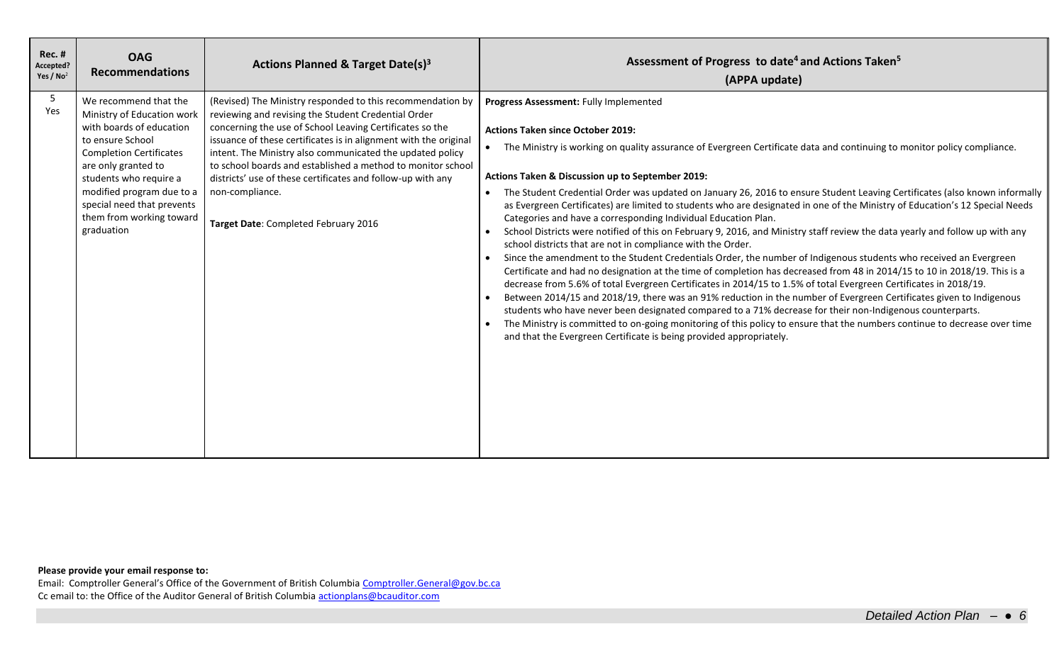| <b>Rec. #</b><br>Accepted?<br>Yes / $No2$ | <b>OAG</b><br><b>Recommendations</b>                                                                                                                                                                                                                                                        | Actions Planned & Target Date(s) <sup>3</sup>                                                                                                                                                                                                                                                                                                                                                                                                                                                           | Assessment of Progress to date <sup>4</sup> and Actions Taken <sup>5</sup><br>(APPA update)                                                                                                                                                                                                                                                                                                                                                                                                                                                                                                                                                                                                                                                                                                                                                                                                                                                                                                                                                                                                                                                                                                                                                                                                                                                                                                                                                                                                                                                                                                                     |
|-------------------------------------------|---------------------------------------------------------------------------------------------------------------------------------------------------------------------------------------------------------------------------------------------------------------------------------------------|---------------------------------------------------------------------------------------------------------------------------------------------------------------------------------------------------------------------------------------------------------------------------------------------------------------------------------------------------------------------------------------------------------------------------------------------------------------------------------------------------------|-----------------------------------------------------------------------------------------------------------------------------------------------------------------------------------------------------------------------------------------------------------------------------------------------------------------------------------------------------------------------------------------------------------------------------------------------------------------------------------------------------------------------------------------------------------------------------------------------------------------------------------------------------------------------------------------------------------------------------------------------------------------------------------------------------------------------------------------------------------------------------------------------------------------------------------------------------------------------------------------------------------------------------------------------------------------------------------------------------------------------------------------------------------------------------------------------------------------------------------------------------------------------------------------------------------------------------------------------------------------------------------------------------------------------------------------------------------------------------------------------------------------------------------------------------------------------------------------------------------------|
| 5<br>Yes                                  | We recommend that the<br>Ministry of Education work<br>with boards of education<br>to ensure School<br><b>Completion Certificates</b><br>are only granted to<br>students who require a<br>modified program due to a<br>special need that prevents<br>them from working toward<br>graduation | (Revised) The Ministry responded to this recommendation by<br>reviewing and revising the Student Credential Order<br>concerning the use of School Leaving Certificates so the<br>issuance of these certificates is in alignment with the original<br>intent. The Ministry also communicated the updated policy<br>to school boards and established a method to monitor school<br>districts' use of these certificates and follow-up with any<br>non-compliance.<br>Target Date: Completed February 2016 | Progress Assessment: Fully Implemented<br><b>Actions Taken since October 2019:</b><br>The Ministry is working on quality assurance of Evergreen Certificate data and continuing to monitor policy compliance.<br>Actions Taken & Discussion up to September 2019:<br>The Student Credential Order was updated on January 26, 2016 to ensure Student Leaving Certificates (also known informally<br>as Evergreen Certificates) are limited to students who are designated in one of the Ministry of Education's 12 Special Needs<br>Categories and have a corresponding Individual Education Plan.<br>School Districts were notified of this on February 9, 2016, and Ministry staff review the data yearly and follow up with any<br>school districts that are not in compliance with the Order.<br>Since the amendment to the Student Credentials Order, the number of Indigenous students who received an Evergreen<br>Certificate and had no designation at the time of completion has decreased from 48 in 2014/15 to 10 in 2018/19. This is a<br>decrease from 5.6% of total Evergreen Certificates in 2014/15 to 1.5% of total Evergreen Certificates in 2018/19.<br>Between 2014/15 and 2018/19, there was an 91% reduction in the number of Evergreen Certificates given to Indigenous<br>students who have never been designated compared to a 71% decrease for their non-Indigenous counterparts.<br>The Ministry is committed to on-going monitoring of this policy to ensure that the numbers continue to decrease over time<br>and that the Evergreen Certificate is being provided appropriately. |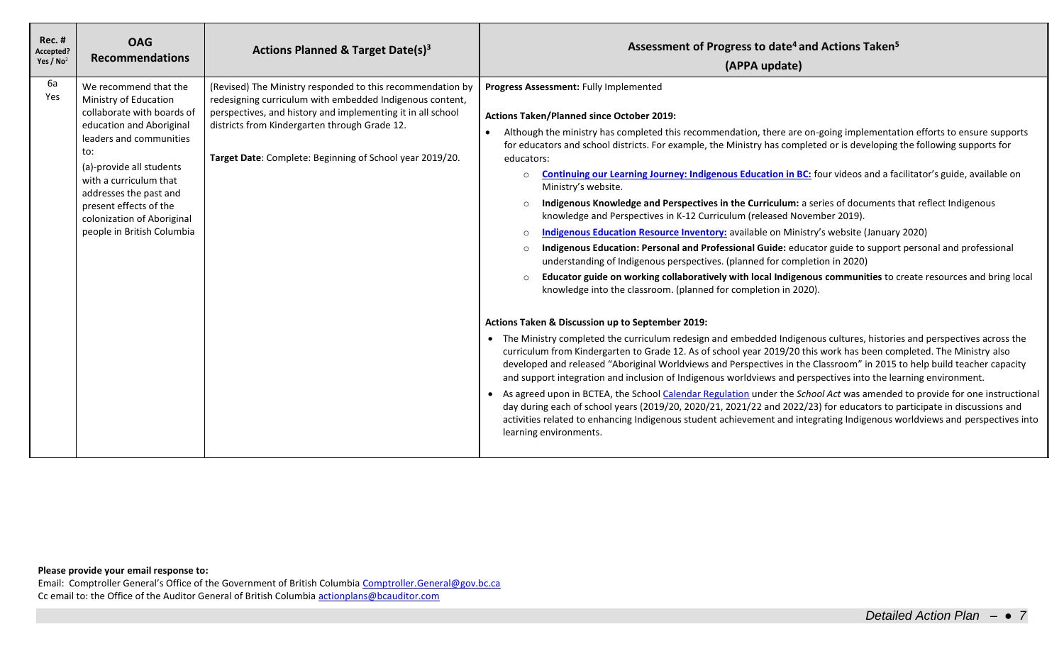| <b>Rec. #</b><br>Accepted?<br>Yes / $No2$ | <b>OAG</b><br><b>Recommendations</b>                                                                                                                                                                                                                                                                             | Actions Planned & Target Date(s) <sup>3</sup>                                                                                                                                                                                                                                                      | Assessment of Progress to date <sup>4</sup> and Actions Taken <sup>5</sup><br>(APPA update)                                                                                                                                                                                                                                                                                                                                                                                                                                                                                                                                                                                                                                                                                                                                                                                                                                                                                                                                                                                                                                                                                                                                                                                                                                                                                                                                                                                                                                                                                                                                                                                                                                                                                                                                                                                                                                                                                                                                                                                                                                                                                                            |
|-------------------------------------------|------------------------------------------------------------------------------------------------------------------------------------------------------------------------------------------------------------------------------------------------------------------------------------------------------------------|----------------------------------------------------------------------------------------------------------------------------------------------------------------------------------------------------------------------------------------------------------------------------------------------------|--------------------------------------------------------------------------------------------------------------------------------------------------------------------------------------------------------------------------------------------------------------------------------------------------------------------------------------------------------------------------------------------------------------------------------------------------------------------------------------------------------------------------------------------------------------------------------------------------------------------------------------------------------------------------------------------------------------------------------------------------------------------------------------------------------------------------------------------------------------------------------------------------------------------------------------------------------------------------------------------------------------------------------------------------------------------------------------------------------------------------------------------------------------------------------------------------------------------------------------------------------------------------------------------------------------------------------------------------------------------------------------------------------------------------------------------------------------------------------------------------------------------------------------------------------------------------------------------------------------------------------------------------------------------------------------------------------------------------------------------------------------------------------------------------------------------------------------------------------------------------------------------------------------------------------------------------------------------------------------------------------------------------------------------------------------------------------------------------------------------------------------------------------------------------------------------------------|
| 6а<br>Yes                                 | We recommend that the<br>Ministry of Education<br>collaborate with boards of<br>education and Aboriginal<br>leaders and communities<br>to:<br>(a)-provide all students<br>with a curriculum that<br>addresses the past and<br>present effects of the<br>colonization of Aboriginal<br>people in British Columbia | (Revised) The Ministry responded to this recommendation by<br>redesigning curriculum with embedded Indigenous content,<br>perspectives, and history and implementing it in all school<br>districts from Kindergarten through Grade 12.<br>Target Date: Complete: Beginning of School year 2019/20. | Progress Assessment: Fully Implemented<br><b>Actions Taken/Planned since October 2019:</b><br>Although the ministry has completed this recommendation, there are on-going implementation efforts to ensure supports<br>for educators and school districts. For example, the Ministry has completed or is developing the following supports for<br>educators:<br>Continuing our Learning Journey: Indigenous Education in BC: four videos and a facilitator's guide, available on<br>$\circ$<br>Ministry's website.<br>Indigenous Knowledge and Perspectives in the Curriculum: a series of documents that reflect Indigenous<br>$\circ$<br>knowledge and Perspectives in K-12 Curriculum (released November 2019).<br>Indigenous Education Resource Inventory: available on Ministry's website (January 2020)<br>$\circ$<br>Indigenous Education: Personal and Professional Guide: educator guide to support personal and professional<br>$\circ$<br>understanding of Indigenous perspectives. (planned for completion in 2020)<br>Educator guide on working collaboratively with local Indigenous communities to create resources and bring local<br>$\circ$<br>knowledge into the classroom. (planned for completion in 2020).<br>Actions Taken & Discussion up to September 2019:<br>• The Ministry completed the curriculum redesign and embedded Indigenous cultures, histories and perspectives across the<br>curriculum from Kindergarten to Grade 12. As of school year 2019/20 this work has been completed. The Ministry also<br>developed and released "Aboriginal Worldviews and Perspectives in the Classroom" in 2015 to help build teacher capacity<br>and support integration and inclusion of Indigenous worldviews and perspectives into the learning environment.<br>• As agreed upon in BCTEA, the School Calendar Regulation under the School Act was amended to provide for one instructional<br>day during each of school years (2019/20, 2020/21, 2021/22 and 2022/23) for educators to participate in discussions and<br>activities related to enhancing Indigenous student achievement and integrating Indigenous worldviews and perspectives into<br>learning environments. |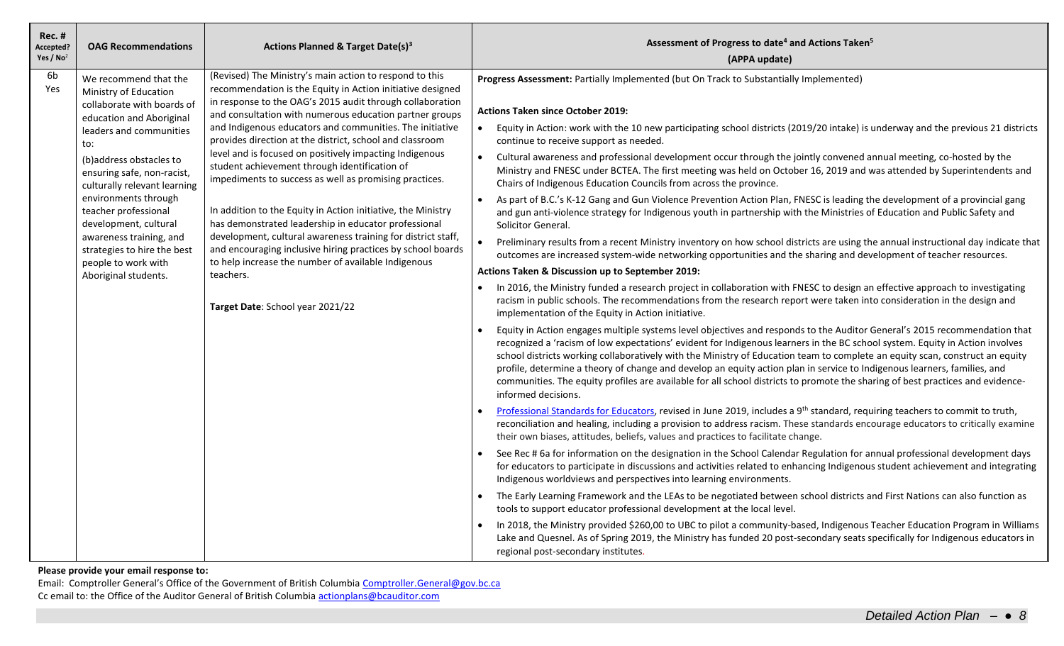| <b>Rec. #</b><br>Accepted?<br>Yes / $No2$ | <b>OAG Recommendations</b>                                                                                                                                                                                                                                                                                                                                                                                            | Actions Planned & Target Date(s) <sup>3</sup>                                                                                                                                                                                                                                                                                                                                                                                                                                                                                                                                                                                                                                                                                                                                                                                                                                                              | Assessment of Progress to date <sup>4</sup> and Actions Taken <sup>5</sup><br>(APPA update)                                                                                                                                                                                                                                                                                                                                                                                                                                                                                                                                                                                                                                                                                                                                                                                                                                                                                                                                                                                                                                                                                                                                                                                                                                                                                                                                                                                                                                                                                                                                                                                                                                                                                                                                                                                                                                                                                                                                                                                                                                                                                                                                                                                                                                                                                                                                                                                                                                                                                                                                                                                                                                                                                                                                                                                                                                                                                                                                                                                                                                                                                                                                                                                                                                                                                                                                                                                                          |
|-------------------------------------------|-----------------------------------------------------------------------------------------------------------------------------------------------------------------------------------------------------------------------------------------------------------------------------------------------------------------------------------------------------------------------------------------------------------------------|------------------------------------------------------------------------------------------------------------------------------------------------------------------------------------------------------------------------------------------------------------------------------------------------------------------------------------------------------------------------------------------------------------------------------------------------------------------------------------------------------------------------------------------------------------------------------------------------------------------------------------------------------------------------------------------------------------------------------------------------------------------------------------------------------------------------------------------------------------------------------------------------------------|------------------------------------------------------------------------------------------------------------------------------------------------------------------------------------------------------------------------------------------------------------------------------------------------------------------------------------------------------------------------------------------------------------------------------------------------------------------------------------------------------------------------------------------------------------------------------------------------------------------------------------------------------------------------------------------------------------------------------------------------------------------------------------------------------------------------------------------------------------------------------------------------------------------------------------------------------------------------------------------------------------------------------------------------------------------------------------------------------------------------------------------------------------------------------------------------------------------------------------------------------------------------------------------------------------------------------------------------------------------------------------------------------------------------------------------------------------------------------------------------------------------------------------------------------------------------------------------------------------------------------------------------------------------------------------------------------------------------------------------------------------------------------------------------------------------------------------------------------------------------------------------------------------------------------------------------------------------------------------------------------------------------------------------------------------------------------------------------------------------------------------------------------------------------------------------------------------------------------------------------------------------------------------------------------------------------------------------------------------------------------------------------------------------------------------------------------------------------------------------------------------------------------------------------------------------------------------------------------------------------------------------------------------------------------------------------------------------------------------------------------------------------------------------------------------------------------------------------------------------------------------------------------------------------------------------------------------------------------------------------------------------------------------------------------------------------------------------------------------------------------------------------------------------------------------------------------------------------------------------------------------------------------------------------------------------------------------------------------------------------------------------------------------------------------------------------------------------------------------------------------|
| 6b<br>Yes                                 | We recommend that the<br>Ministry of Education<br>collaborate with boards of<br>education and Aboriginal<br>leaders and communities<br>to:<br>(b)address obstacles to<br>ensuring safe, non-racist,<br>culturally relevant learning<br>environments through<br>teacher professional<br>development, cultural<br>awareness training, and<br>strategies to hire the best<br>people to work with<br>Aboriginal students. | (Revised) The Ministry's main action to respond to this<br>recommendation is the Equity in Action initiative designed<br>in response to the OAG's 2015 audit through collaboration<br>and consultation with numerous education partner groups<br>and Indigenous educators and communities. The initiative<br>provides direction at the district, school and classroom<br>level and is focused on positively impacting Indigenous<br>student achievement through identification of<br>impediments to success as well as promising practices.<br>In addition to the Equity in Action initiative, the Ministry<br>has demonstrated leadership in educator professional<br>development, cultural awareness training for district staff,<br>and encouraging inclusive hiring practices by school boards<br>to help increase the number of available Indigenous<br>teachers.<br>Target Date: School year 2021/22 | Progress Assessment: Partially Implemented (but On Track to Substantially Implemented)<br><b>Actions Taken since October 2019:</b><br>Equity in Action: work with the 10 new participating school districts (2019/20 intake) is underway and the previous 21 districts<br>continue to receive support as needed.<br>Cultural awareness and professional development occur through the jointly convened annual meeting, co-hosted by the<br>$\bullet$<br>Ministry and FNESC under BCTEA. The first meeting was held on October 16, 2019 and was attended by Superintendents and<br>Chairs of Indigenous Education Councils from across the province.<br>As part of B.C.'s K-12 Gang and Gun Violence Prevention Action Plan, FNESC is leading the development of a provincial gang<br>$\bullet$<br>and gun anti-violence strategy for Indigenous youth in partnership with the Ministries of Education and Public Safety and<br>Solicitor General.<br>Preliminary results from a recent Ministry inventory on how school districts are using the annual instructional day indicate that<br>outcomes are increased system-wide networking opportunities and the sharing and development of teacher resources.<br>Actions Taken & Discussion up to September 2019:<br>In 2016, the Ministry funded a research project in collaboration with FNESC to design an effective approach to investigating<br>racism in public schools. The recommendations from the research report were taken into consideration in the design and<br>implementation of the Equity in Action initiative.<br>Equity in Action engages multiple systems level objectives and responds to the Auditor General's 2015 recommendation that<br>recognized a 'racism of low expectations' evident for Indigenous learners in the BC school system. Equity in Action involves<br>school districts working collaboratively with the Ministry of Education team to complete an equity scan, construct an equity<br>profile, determine a theory of change and develop an equity action plan in service to Indigenous learners, families, and<br>communities. The equity profiles are available for all school districts to promote the sharing of best practices and evidence-<br>informed decisions.<br>Professional Standards for Educators, revised in June 2019, includes a 9 <sup>th</sup> standard, requiring teachers to commit to truth,<br>reconciliation and healing, including a provision to address racism. These standards encourage educators to critically examine<br>their own biases, attitudes, beliefs, values and practices to facilitate change.<br>See Rec # 6a for information on the designation in the School Calendar Regulation for annual professional development days<br>for educators to participate in discussions and activities related to enhancing Indigenous student achievement and integrating<br>Indigenous worldviews and perspectives into learning environments.<br>The Early Learning Framework and the LEAs to be negotiated between school districts and First Nations can also function as<br>$\bullet$<br>tools to support educator professional development at the local level.<br>In 2018, the Ministry provided \$260,00 to UBC to pilot a community-based, Indigenous Teacher Education Program in Williams<br>Lake and Quesnel. As of Spring 2019, the Ministry has funded 20 post-secondary seats specifically for Indigenous educators in<br>regional post-secondary institutes. |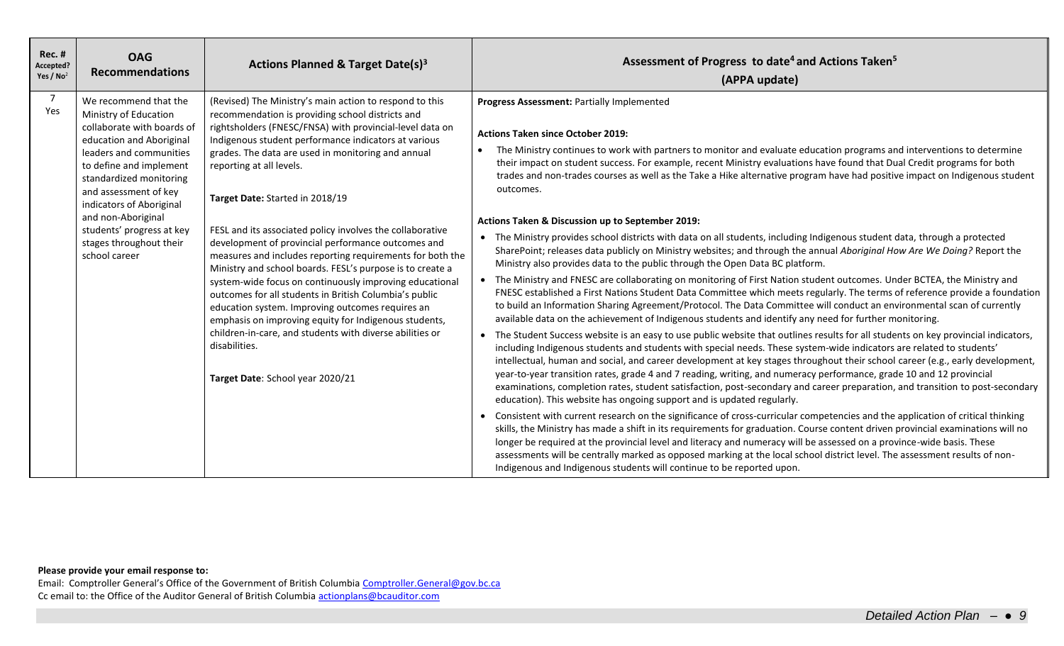| <b>Rec. #</b><br>Accepted?<br>Yes / $No2$ | <b>OAG</b><br><b>Recommendations</b>                                                                                                                                                                                                                                                                                                          | Actions Planned & Target Date(s) <sup>3</sup>                                                                                                                                                                                                                                                                                                                                                                                                                                                                                                                                                                                                                                                                                                                                                                                                                                                                                                        | Assessment of Progress to date <sup>4</sup> and Actions Taken <sup>5</sup><br>(APPA update)                                                                                                                                                                                                                                                                                                                                                                                                                                                                                                                                                                                                                                                                                                                                                                                                                                                                                                                                                                                                                                                                                                                                                                                                                                                                                                                                                                                                                                                                                                                                                                                                                                                                                                                                                                                                                                                                                                                                                                                                                                                                                                                                                                                                                                                                                                                                                                                                                                                                                                                                                                                                                                  |
|-------------------------------------------|-----------------------------------------------------------------------------------------------------------------------------------------------------------------------------------------------------------------------------------------------------------------------------------------------------------------------------------------------|------------------------------------------------------------------------------------------------------------------------------------------------------------------------------------------------------------------------------------------------------------------------------------------------------------------------------------------------------------------------------------------------------------------------------------------------------------------------------------------------------------------------------------------------------------------------------------------------------------------------------------------------------------------------------------------------------------------------------------------------------------------------------------------------------------------------------------------------------------------------------------------------------------------------------------------------------|------------------------------------------------------------------------------------------------------------------------------------------------------------------------------------------------------------------------------------------------------------------------------------------------------------------------------------------------------------------------------------------------------------------------------------------------------------------------------------------------------------------------------------------------------------------------------------------------------------------------------------------------------------------------------------------------------------------------------------------------------------------------------------------------------------------------------------------------------------------------------------------------------------------------------------------------------------------------------------------------------------------------------------------------------------------------------------------------------------------------------------------------------------------------------------------------------------------------------------------------------------------------------------------------------------------------------------------------------------------------------------------------------------------------------------------------------------------------------------------------------------------------------------------------------------------------------------------------------------------------------------------------------------------------------------------------------------------------------------------------------------------------------------------------------------------------------------------------------------------------------------------------------------------------------------------------------------------------------------------------------------------------------------------------------------------------------------------------------------------------------------------------------------------------------------------------------------------------------------------------------------------------------------------------------------------------------------------------------------------------------------------------------------------------------------------------------------------------------------------------------------------------------------------------------------------------------------------------------------------------------------------------------------------------------------------------------------------------------|
| $\overline{7}$<br>Yes                     | We recommend that the<br>Ministry of Education<br>collaborate with boards of<br>education and Aboriginal<br>leaders and communities<br>to define and implement<br>standardized monitoring<br>and assessment of key<br>indicators of Aboriginal<br>and non-Aboriginal<br>students' progress at key<br>stages throughout their<br>school career | (Revised) The Ministry's main action to respond to this<br>recommendation is providing school districts and<br>rightsholders (FNESC/FNSA) with provincial-level data on<br>Indigenous student performance indicators at various<br>grades. The data are used in monitoring and annual<br>reporting at all levels.<br>Target Date: Started in 2018/19<br>FESL and its associated policy involves the collaborative<br>development of provincial performance outcomes and<br>measures and includes reporting requirements for both the<br>Ministry and school boards. FESL's purpose is to create a<br>system-wide focus on continuously improving educational<br>outcomes for all students in British Columbia's public<br>education system. Improving outcomes requires an<br>emphasis on improving equity for Indigenous students,<br>children-in-care, and students with diverse abilities or<br>disabilities.<br>Target Date: School year 2020/21 | Progress Assessment: Partially Implemented<br><b>Actions Taken since October 2019:</b><br>The Ministry continues to work with partners to monitor and evaluate education programs and interventions to determine<br>their impact on student success. For example, recent Ministry evaluations have found that Dual Credit programs for both<br>trades and non-trades courses as well as the Take a Hike alternative program have had positive impact on Indigenous student<br>outcomes.<br>Actions Taken & Discussion up to September 2019:<br>• The Ministry provides school districts with data on all students, including Indigenous student data, through a protected<br>SharePoint; releases data publicly on Ministry websites; and through the annual Aboriginal How Are We Doing? Report the<br>Ministry also provides data to the public through the Open Data BC platform.<br>• The Ministry and FNESC are collaborating on monitoring of First Nation student outcomes. Under BCTEA, the Ministry and<br>FNESC established a First Nations Student Data Committee which meets regularly. The terms of reference provide a foundation<br>to build an Information Sharing Agreement/Protocol. The Data Committee will conduct an environmental scan of currently<br>available data on the achievement of Indigenous students and identify any need for further monitoring.<br>• The Student Success website is an easy to use public website that outlines results for all students on key provincial indicators,<br>including Indigenous students and students with special needs. These system-wide indicators are related to students'<br>intellectual, human and social, and career development at key stages throughout their school career (e.g., early development,<br>year-to-year transition rates, grade 4 and 7 reading, writing, and numeracy performance, grade 10 and 12 provincial<br>examinations, completion rates, student satisfaction, post-secondary and career preparation, and transition to post-secondary<br>education). This website has ongoing support and is updated regularly.<br>• Consistent with current research on the significance of cross-curricular competencies and the application of critical thinking<br>skills, the Ministry has made a shift in its requirements for graduation. Course content driven provincial examinations will no<br>longer be required at the provincial level and literacy and numeracy will be assessed on a province-wide basis. These<br>assessments will be centrally marked as opposed marking at the local school district level. The assessment results of non-<br>Indigenous and Indigenous students will continue to be reported upon. |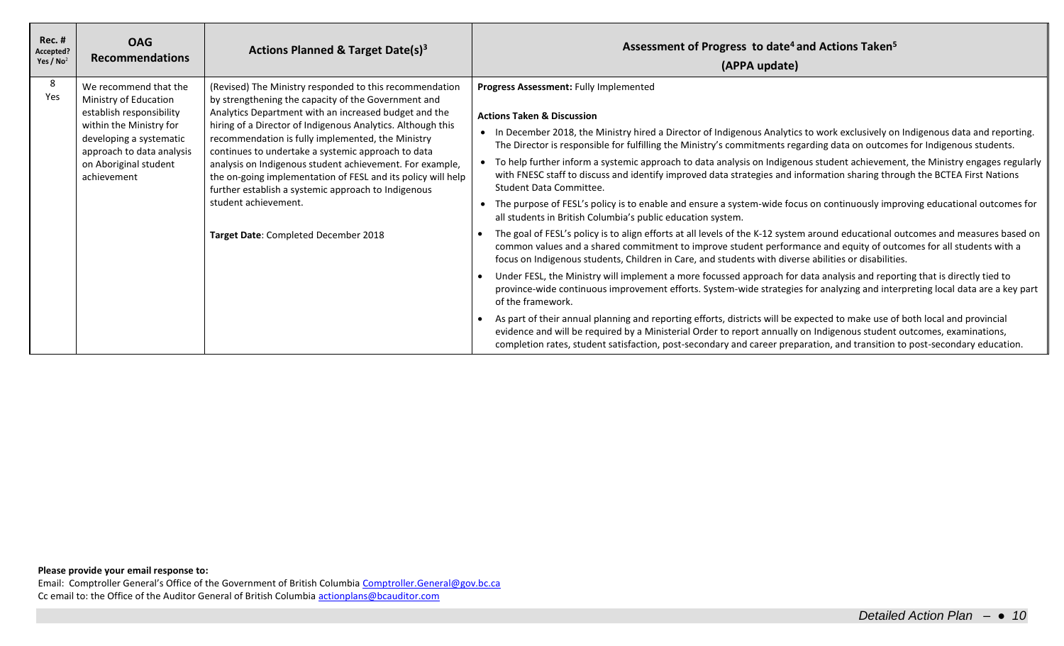| <b>Rec. #</b><br>Accepted?<br>Yes / $No2$ | <b>OAG</b><br><b>Recommendations</b>                                                                                                                                                                  | Actions Planned & Target Date(s) <sup>3</sup>                                                                                                                                                                                                                                                                                                                                                                                                                                                                                                                                                        | Assessment of Progress to date <sup>4</sup> and Actions Taken <sup>5</sup><br>(APPA update)                                                                                                                                                                                                                                                                                                                                                                                                                                                                                                                                                                                                                                                                                                                                                                                                                                                                                                                                                                                                                                                                                                                                                                                                                                                                                                                                                                                                                                                                                                                                                                                                                                                                                                                                                                                          |
|-------------------------------------------|-------------------------------------------------------------------------------------------------------------------------------------------------------------------------------------------------------|------------------------------------------------------------------------------------------------------------------------------------------------------------------------------------------------------------------------------------------------------------------------------------------------------------------------------------------------------------------------------------------------------------------------------------------------------------------------------------------------------------------------------------------------------------------------------------------------------|--------------------------------------------------------------------------------------------------------------------------------------------------------------------------------------------------------------------------------------------------------------------------------------------------------------------------------------------------------------------------------------------------------------------------------------------------------------------------------------------------------------------------------------------------------------------------------------------------------------------------------------------------------------------------------------------------------------------------------------------------------------------------------------------------------------------------------------------------------------------------------------------------------------------------------------------------------------------------------------------------------------------------------------------------------------------------------------------------------------------------------------------------------------------------------------------------------------------------------------------------------------------------------------------------------------------------------------------------------------------------------------------------------------------------------------------------------------------------------------------------------------------------------------------------------------------------------------------------------------------------------------------------------------------------------------------------------------------------------------------------------------------------------------------------------------------------------------------------------------------------------------|
| 8<br>Yes                                  | We recommend that the<br>Ministry of Education<br>establish responsibility<br>within the Ministry for<br>developing a systematic<br>approach to data analysis<br>on Aboriginal student<br>achievement | (Revised) The Ministry responded to this recommendation<br>by strengthening the capacity of the Government and<br>Analytics Department with an increased budget and the<br>hiring of a Director of Indigenous Analytics. Although this<br>recommendation is fully implemented, the Ministry<br>continues to undertake a systemic approach to data<br>analysis on Indigenous student achievement. For example,<br>the on-going implementation of FESL and its policy will help<br>further establish a systemic approach to Indigenous<br>student achievement.<br>Target Date: Completed December 2018 | Progress Assessment: Fully Implemented<br><b>Actions Taken &amp; Discussion</b><br>• In December 2018, the Ministry hired a Director of Indigenous Analytics to work exclusively on Indigenous data and reporting.<br>The Director is responsible for fulfilling the Ministry's commitments regarding data on outcomes for Indigenous students.<br>• To help further inform a systemic approach to data analysis on Indigenous student achievement, the Ministry engages regularly<br>with FNESC staff to discuss and identify improved data strategies and information sharing through the BCTEA First Nations<br>Student Data Committee.<br>The purpose of FESL's policy is to enable and ensure a system-wide focus on continuously improving educational outcomes for<br>all students in British Columbia's public education system.<br>The goal of FESL's policy is to align efforts at all levels of the K-12 system around educational outcomes and measures based on<br>common values and a shared commitment to improve student performance and equity of outcomes for all students with a<br>focus on Indigenous students, Children in Care, and students with diverse abilities or disabilities.<br>Under FESL, the Ministry will implement a more focussed approach for data analysis and reporting that is directly tied to<br>province-wide continuous improvement efforts. System-wide strategies for analyzing and interpreting local data are a key part<br>of the framework.<br>As part of their annual planning and reporting efforts, districts will be expected to make use of both local and provincial<br>evidence and will be required by a Ministerial Order to report annually on Indigenous student outcomes, examinations,<br>completion rates, student satisfaction, post-secondary and career preparation, and transition to post-secondary education. |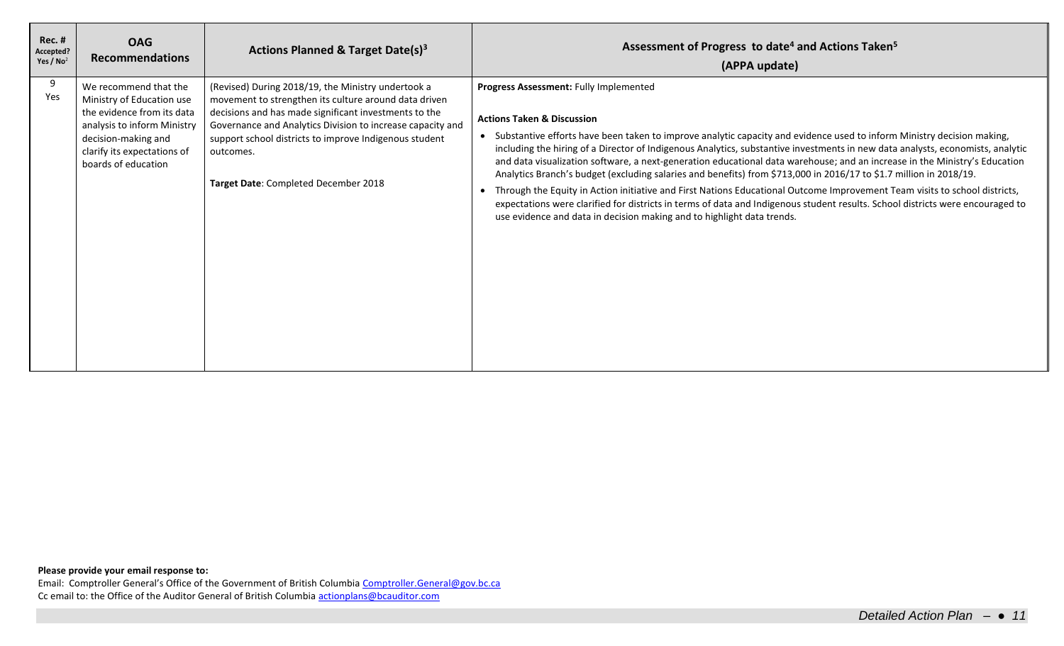| <b>Rec. #</b><br>Accepted?<br>Yes / $No2$ | <b>OAG</b><br><b>Recommendations</b>                                                                                                                                                         | Actions Planned & Target Date(s) <sup>3</sup>                                                                                                                                                                                                                                                                                                     | Assessment of Progress to date <sup>4</sup> and Actions Taken <sup>5</sup><br>(APPA update)                                                                                                                                                                                                                                                                                                                                                                                                                                                                                                                                                                                                                                                                                                                                                                                                                                                              |
|-------------------------------------------|----------------------------------------------------------------------------------------------------------------------------------------------------------------------------------------------|---------------------------------------------------------------------------------------------------------------------------------------------------------------------------------------------------------------------------------------------------------------------------------------------------------------------------------------------------|----------------------------------------------------------------------------------------------------------------------------------------------------------------------------------------------------------------------------------------------------------------------------------------------------------------------------------------------------------------------------------------------------------------------------------------------------------------------------------------------------------------------------------------------------------------------------------------------------------------------------------------------------------------------------------------------------------------------------------------------------------------------------------------------------------------------------------------------------------------------------------------------------------------------------------------------------------|
| 9<br>Yes                                  | We recommend that the<br>Ministry of Education use<br>the evidence from its data<br>analysis to inform Ministry<br>decision-making and<br>clarify its expectations of<br>boards of education | (Revised) During 2018/19, the Ministry undertook a<br>movement to strengthen its culture around data driven<br>decisions and has made significant investments to the<br>Governance and Analytics Division to increase capacity and<br>support school districts to improve Indigenous student<br>outcomes.<br>Target Date: Completed December 2018 | Progress Assessment: Fully Implemented<br><b>Actions Taken &amp; Discussion</b><br>• Substantive efforts have been taken to improve analytic capacity and evidence used to inform Ministry decision making,<br>including the hiring of a Director of Indigenous Analytics, substantive investments in new data analysts, economists, analytic<br>and data visualization software, a next-generation educational data warehouse; and an increase in the Ministry's Education<br>Analytics Branch's budget (excluding salaries and benefits) from \$713,000 in 2016/17 to \$1.7 million in 2018/19.<br>Through the Equity in Action initiative and First Nations Educational Outcome Improvement Team visits to school districts,<br>$\bullet$<br>expectations were clarified for districts in terms of data and Indigenous student results. School districts were encouraged to<br>use evidence and data in decision making and to highlight data trends. |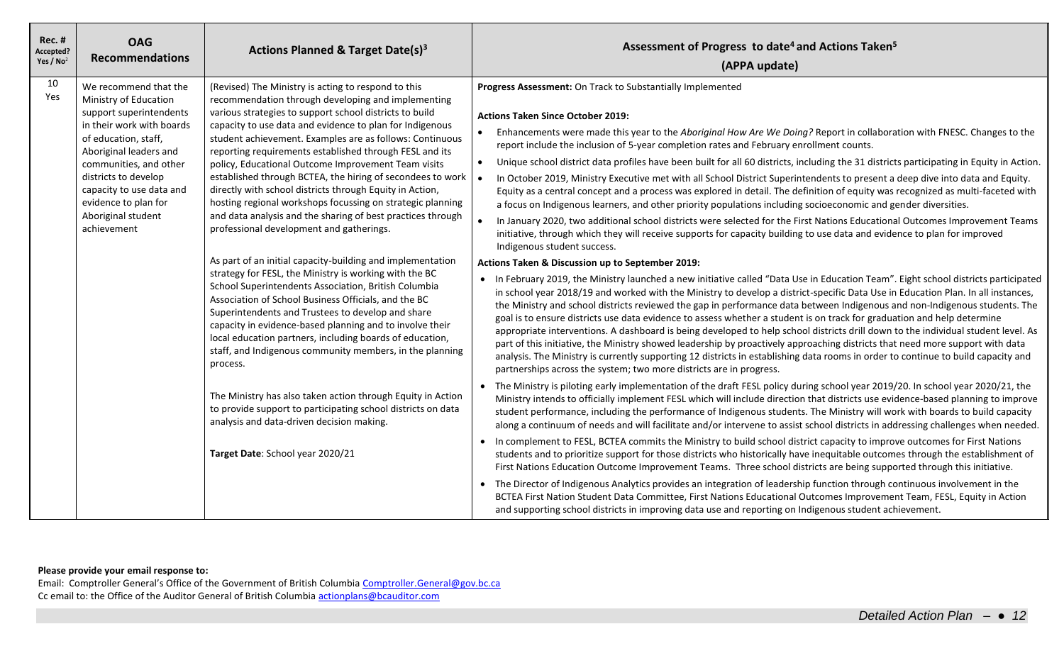| <b>Rec. #</b><br>Accepted?<br>Yes / $No2$ | <b>OAG</b><br><b>Recommendations</b>                                                                                                                                                                                                                                                                | Actions Planned & Target Date(s) <sup>3</sup>                                                                                                                                                                                                                                                                                                                                                                                                                                                                                                                                                                                                                                                                     | Assessment of Progress to date <sup>4</sup> and Actions Taken <sup>5</sup><br>(APPA update)                                                                                                                                                                                                                                                                                                                                                                                                                                                                                                                                                                                                                                                                                                                                                                                                                                                                                                                                                                                                                                                                           |
|-------------------------------------------|-----------------------------------------------------------------------------------------------------------------------------------------------------------------------------------------------------------------------------------------------------------------------------------------------------|-------------------------------------------------------------------------------------------------------------------------------------------------------------------------------------------------------------------------------------------------------------------------------------------------------------------------------------------------------------------------------------------------------------------------------------------------------------------------------------------------------------------------------------------------------------------------------------------------------------------------------------------------------------------------------------------------------------------|-----------------------------------------------------------------------------------------------------------------------------------------------------------------------------------------------------------------------------------------------------------------------------------------------------------------------------------------------------------------------------------------------------------------------------------------------------------------------------------------------------------------------------------------------------------------------------------------------------------------------------------------------------------------------------------------------------------------------------------------------------------------------------------------------------------------------------------------------------------------------------------------------------------------------------------------------------------------------------------------------------------------------------------------------------------------------------------------------------------------------------------------------------------------------|
| 10<br>Yes                                 | We recommend that the<br>Ministry of Education<br>support superintendents<br>in their work with boards<br>of education, staff,<br>Aboriginal leaders and<br>communities, and other<br>districts to develop<br>capacity to use data and<br>evidence to plan for<br>Aboriginal student<br>achievement | (Revised) The Ministry is acting to respond to this<br>recommendation through developing and implementing<br>various strategies to support school districts to build<br>capacity to use data and evidence to plan for Indigenous<br>student achievement. Examples are as follows: Continuous<br>reporting requirements established through FESL and its<br>policy, Educational Outcome Improvement Team visits<br>established through BCTEA, the hiring of secondees to work<br>directly with school districts through Equity in Action,<br>hosting regional workshops focussing on strategic planning<br>and data analysis and the sharing of best practices through<br>professional development and gatherings. | Progress Assessment: On Track to Substantially Implemented<br><b>Actions Taken Since October 2019:</b><br>Enhancements were made this year to the Aboriginal How Are We Doing? Report in collaboration with FNESC. Changes to the<br>report include the inclusion of 5-year completion rates and February enrollment counts.<br>Unique school district data profiles have been built for all 60 districts, including the 31 districts participating in Equity in Action.<br>$\bullet$<br>In October 2019, Ministry Executive met with all School District Superintendents to present a deep dive into data and Equity.<br>Equity as a central concept and a process was explored in detail. The definition of equity was recognized as multi-faceted with<br>a focus on Indigenous learners, and other priority populations including socioeconomic and gender diversities.<br>In January 2020, two additional school districts were selected for the First Nations Educational Outcomes Improvement Teams<br>initiative, through which they will receive supports for capacity building to use data and evidence to plan for improved<br>Indigenous student success. |
|                                           |                                                                                                                                                                                                                                                                                                     | As part of an initial capacity-building and implementation<br>strategy for FESL, the Ministry is working with the BC<br>School Superintendents Association, British Columbia<br>Association of School Business Officials, and the BC<br>Superintendents and Trustees to develop and share<br>capacity in evidence-based planning and to involve their<br>local education partners, including boards of education,<br>staff, and Indigenous community members, in the planning<br>process.                                                                                                                                                                                                                         | Actions Taken & Discussion up to September 2019:<br>• In February 2019, the Ministry launched a new initiative called "Data Use in Education Team". Eight school districts participated<br>in school year 2018/19 and worked with the Ministry to develop a district-specific Data Use in Education Plan. In all instances,<br>the Ministry and school districts reviewed the gap in performance data between Indigenous and non-Indigenous students. The<br>goal is to ensure districts use data evidence to assess whether a student is on track for graduation and help determine<br>appropriate interventions. A dashboard is being developed to help school districts drill down to the individual student level. As<br>part of this initiative, the Ministry showed leadership by proactively approaching districts that need more support with data<br>analysis. The Ministry is currently supporting 12 districts in establishing data rooms in order to continue to build capacity and<br>partnerships across the system; two more districts are in progress.                                                                                                |
|                                           |                                                                                                                                                                                                                                                                                                     | The Ministry has also taken action through Equity in Action<br>to provide support to participating school districts on data<br>analysis and data-driven decision making.                                                                                                                                                                                                                                                                                                                                                                                                                                                                                                                                          | • The Ministry is piloting early implementation of the draft FESL policy during school year 2019/20. In school year 2020/21, the<br>Ministry intends to officially implement FESL which will include direction that districts use evidence-based planning to improve<br>student performance, including the performance of Indigenous students. The Ministry will work with boards to build capacity<br>along a continuum of needs and will facilitate and/or intervene to assist school districts in addressing challenges when needed.<br>In complement to FESL, BCTEA commits the Ministry to build school district capacity to improve outcomes for First Nations                                                                                                                                                                                                                                                                                                                                                                                                                                                                                                  |
|                                           |                                                                                                                                                                                                                                                                                                     | Target Date: School year 2020/21                                                                                                                                                                                                                                                                                                                                                                                                                                                                                                                                                                                                                                                                                  | students and to prioritize support for those districts who historically have inequitable outcomes through the establishment of<br>First Nations Education Outcome Improvement Teams. Three school districts are being supported through this initiative.<br>• The Director of Indigenous Analytics provides an integration of leadership function through continuous involvement in the<br>BCTEA First Nation Student Data Committee, First Nations Educational Outcomes Improvement Team, FESL, Equity in Action<br>and supporting school districts in improving data use and reporting on Indigenous student achievement.                                                                                                                                                                                                                                                                                                                                                                                                                                                                                                                                           |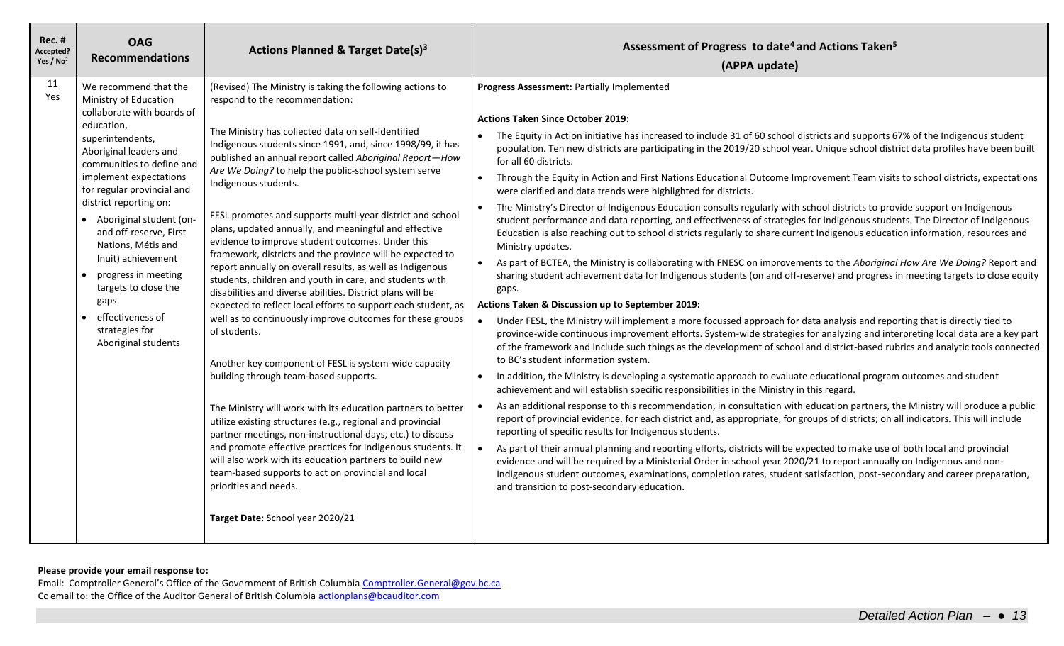| <b>Rec. #</b><br>Accepted?<br>Yes / $No2$ | <b>OAG</b><br><b>Recommendations</b>                                                                                                                                                                                                                                                                                                                                                                                                                                                                     | <b>Actions Planned &amp; Target Date(s)3</b>                                                                                                                                                                                                                                                                                                                                                                                                                                                                                                                                                                                                                                                                                                                                                                                                                                                                                                                                                                                                                                                                                                                                                                                                                                                                                                                                                                                                                                     | Assessment of Progress to date <sup>4</sup> and Actions Taken <sup>5</sup><br>(APPA update)                                                                                                                                                                                                                                                                                                                                                                                                                                                                                                                                                                                                                                                                                                                                                                                                                                                                                                                                                                                                                                                                                                                                                                                                                                                                                                                                                                                                                                                                                                                                                                                                                                                                                                                                                                                                                                                                                                                                                                                                                                                                                                                                                                                                                                                                                                                                                                                                                                                                                                                                                                                                                                                                                                              |
|-------------------------------------------|----------------------------------------------------------------------------------------------------------------------------------------------------------------------------------------------------------------------------------------------------------------------------------------------------------------------------------------------------------------------------------------------------------------------------------------------------------------------------------------------------------|----------------------------------------------------------------------------------------------------------------------------------------------------------------------------------------------------------------------------------------------------------------------------------------------------------------------------------------------------------------------------------------------------------------------------------------------------------------------------------------------------------------------------------------------------------------------------------------------------------------------------------------------------------------------------------------------------------------------------------------------------------------------------------------------------------------------------------------------------------------------------------------------------------------------------------------------------------------------------------------------------------------------------------------------------------------------------------------------------------------------------------------------------------------------------------------------------------------------------------------------------------------------------------------------------------------------------------------------------------------------------------------------------------------------------------------------------------------------------------|----------------------------------------------------------------------------------------------------------------------------------------------------------------------------------------------------------------------------------------------------------------------------------------------------------------------------------------------------------------------------------------------------------------------------------------------------------------------------------------------------------------------------------------------------------------------------------------------------------------------------------------------------------------------------------------------------------------------------------------------------------------------------------------------------------------------------------------------------------------------------------------------------------------------------------------------------------------------------------------------------------------------------------------------------------------------------------------------------------------------------------------------------------------------------------------------------------------------------------------------------------------------------------------------------------------------------------------------------------------------------------------------------------------------------------------------------------------------------------------------------------------------------------------------------------------------------------------------------------------------------------------------------------------------------------------------------------------------------------------------------------------------------------------------------------------------------------------------------------------------------------------------------------------------------------------------------------------------------------------------------------------------------------------------------------------------------------------------------------------------------------------------------------------------------------------------------------------------------------------------------------------------------------------------------------------------------------------------------------------------------------------------------------------------------------------------------------------------------------------------------------------------------------------------------------------------------------------------------------------------------------------------------------------------------------------------------------------------------------------------------------------------------------------------------------|
| 11<br>Yes                                 | We recommend that the<br>Ministry of Education<br>collaborate with boards of<br>education,<br>superintendents,<br>Aboriginal leaders and<br>communities to define and<br>implement expectations<br>for regular provincial and<br>district reporting on:<br>• Aboriginal student (on-<br>and off-reserve, First<br>Nations, Métis and<br>Inuit) achievement<br>progress in meeting<br>$\bullet$<br>targets to close the<br>gaps<br>effectiveness of<br>$\bullet$<br>strategies for<br>Aboriginal students | (Revised) The Ministry is taking the following actions to<br>respond to the recommendation:<br>The Ministry has collected data on self-identified<br>Indigenous students since 1991, and, since 1998/99, it has<br>published an annual report called Aboriginal Report-How<br>Are We Doing? to help the public-school system serve<br>Indigenous students.<br>FESL promotes and supports multi-year district and school<br>plans, updated annually, and meaningful and effective<br>evidence to improve student outcomes. Under this<br>framework, districts and the province will be expected to<br>report annually on overall results, as well as Indigenous<br>students, children and youth in care, and students with<br>disabilities and diverse abilities. District plans will be<br>expected to reflect local efforts to support each student, as<br>well as to continuously improve outcomes for these groups<br>of students.<br>Another key component of FESL is system-wide capacity<br>building through team-based supports.<br>The Ministry will work with its education partners to better<br>utilize existing structures (e.g., regional and provincial<br>partner meetings, non-instructional days, etc.) to discuss<br>and promote effective practices for Indigenous students. It<br>will also work with its education partners to build new<br>team-based supports to act on provincial and local<br>priorities and needs.<br>Target Date: School year 2020/21 | Progress Assessment: Partially Implemented<br><b>Actions Taken Since October 2019:</b><br>The Equity in Action initiative has increased to include 31 of 60 school districts and supports 67% of the Indigenous student<br>$\bullet$<br>population. Ten new districts are participating in the 2019/20 school year. Unique school district data profiles have been built<br>for all 60 districts.<br>Through the Equity in Action and First Nations Educational Outcome Improvement Team visits to school districts, expectations<br>$\bullet$<br>were clarified and data trends were highlighted for districts.<br>The Ministry's Director of Indigenous Education consults regularly with school districts to provide support on Indigenous<br>student performance and data reporting, and effectiveness of strategies for Indigenous students. The Director of Indigenous<br>Education is also reaching out to school districts regularly to share current Indigenous education information, resources and<br>Ministry updates.<br>As part of BCTEA, the Ministry is collaborating with FNESC on improvements to the Aboriginal How Are We Doing? Report and<br>sharing student achievement data for Indigenous students (on and off-reserve) and progress in meeting targets to close equity<br>gaps.<br>Actions Taken & Discussion up to September 2019:<br>Under FESL, the Ministry will implement a more focussed approach for data analysis and reporting that is directly tied to<br>province-wide continuous improvement efforts. System-wide strategies for analyzing and interpreting local data are a key part<br>of the framework and include such things as the development of school and district-based rubrics and analytic tools connected<br>to BC's student information system.<br>In addition, the Ministry is developing a systematic approach to evaluate educational program outcomes and student<br>achievement and will establish specific responsibilities in the Ministry in this regard.<br>As an additional response to this recommendation, in consultation with education partners, the Ministry will produce a public<br>report of provincial evidence, for each district and, as appropriate, for groups of districts; on all indicators. This will include<br>reporting of specific results for Indigenous students.<br>As part of their annual planning and reporting efforts, districts will be expected to make use of both local and provincial<br>$\bullet$<br>evidence and will be required by a Ministerial Order in school year 2020/21 to report annually on Indigenous and non-<br>Indigenous student outcomes, examinations, completion rates, student satisfaction, post-secondary and career preparation,<br>and transition to post-secondary education. |